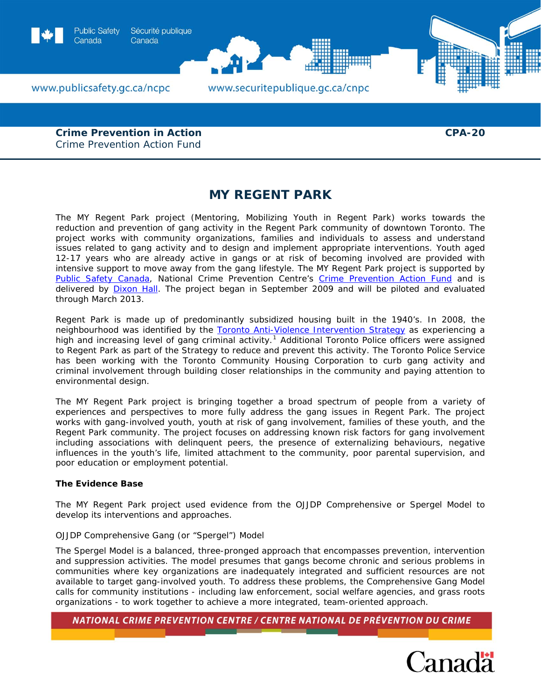

**Crime Prevention in Action**  Crime Prevention Action Fund

# **MY REGENT PARK**

The MY Regent Park project (Mentoring, Mobilizing Youth in Regent Park) works towards the reduction and prevention of gang activity in the Regent Park community of downtown Toronto. The project works with community organizations, families and individuals to assess and understand issues related to gang activity and to design and implement appropriate interventions. Youth aged 12-17 years who are already active in gangs or at risk of becoming involved are provided with intensive support to move away from the gang lifestyle. The MY Regent Park project is supported by [Public Safety Canada](http://www.publicsafety.gc.ca/prg/cp/index-eng.aspx), National Crime Prevention Centre's [Crime Prevention Action Fund](http://www.publicsafety.gc.ca/prg/cp/cpaf-index-eng.aspx) and is delivered by **Dixon Hall**. The project began in September 2009 and will be piloted and evaluated through March 2013.

Regent Park is made up of predominantly subsidized housing built in the 1940's. In 2008, the neighbourhood was identified by the [Toronto Anti-Violence Intervention Strategy](http://www.torontopolice.on.ca/tavis/) as experiencing a high and increasing level of gang criminal activity.<sup>[1](#page-3-0)</sup> Additional Toronto Police officers were assigned to Regent Park as part of the Strategy to reduce and prevent this activity. The Toronto Police Service has been working with the Toronto Community Housing Corporation to curb gang activity and criminal involvement through building closer relationships in the community and paying attention to environmental design.

The MY Regent Park project is bringing together a broad spectrum of people from a variety of experiences and perspectives to more fully address the gang issues in Regent Park. The project works with gang-involved youth, youth at risk of gang involvement, families of these youth, and the Regent Park community. The project focuses on addressing known risk factors for gang involvement including associations with delinquent peers, the presence of externalizing behaviours, negative influences in the youth's life, limited attachment to the community, poor parental supervision, and poor education or employment potential.

# **The Evidence Base**

The MY Regent Park project used evidence from the OJJDP Comprehensive or Spergel Model to develop its interventions and approaches.

# *OJJDP Comprehensive Gang (or "Spergel") Model*

The Spergel Model is a balanced, three-pronged approach that encompasses prevention, intervention and suppression activities. The model presumes that gangs become chronic and serious problems in communities where key organizations are inadequately integrated and sufficient resources are not available to target gang-involved youth. To address these problems, the Comprehensive Gang Model calls for community institutions - including law enforcement, social welfare agencies, and grass roots organizations - to work together to achieve a more integrated, team-oriented approach.

NATIONAL CRIME PREVENTION CENTRE / CENTRE NATIONAL DE PRÉVENTION DU CRIME



**CPA-20**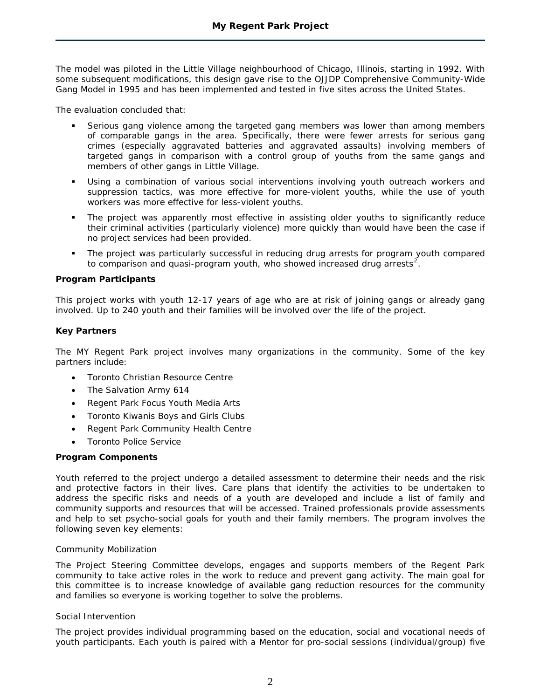The model was piloted in the Little Village neighbourhood of Chicago, Illinois, starting in 1992. With some subsequent modifications, this design gave rise to the OJJDP Comprehensive Community-Wide Gang Model in 1995 and has been implemented and tested in five sites across the United States.

The evaluation concluded that:

- Serious gang violence among the targeted gang members was lower than among members of comparable gangs in the area. Specifically, there were fewer arrests for serious gang crimes (especially aggravated batteries and aggravated assaults) involving members of targeted gangs in comparison with a control group of youths from the same gangs and members of other gangs in Little Village.
- Using a combination of various social interventions involving youth outreach workers and suppression tactics, was more effective for more-violent youths, while the use of youth workers was more effective for less-violent youths.
- The project was apparently most effective in assisting older youths to significantly reduce their criminal activities (particularly violence) more quickly than would have been the case if no project services had been provided.
- The project was particularly successful in reducing drug arrests for program youth compared to comparison and quasi-program youth, who showed increased drug arrests<sup>[2](#page-3-1)</sup>.

# **Program Participants**

This project works with youth 12-17 years of age who are at risk of joining gangs or already gang involved. Up to 240 youth and their families will be involved over the life of the project.

# **Key Partners**

The MY Regent Park project involves many organizations in the community. Some of the key partners include:

- Toronto Christian Resource Centre
- The Salvation Army 614
- Regent Park Focus Youth Media Arts
- Toronto Kiwanis Boys and Girls Clubs
- Regent Park Community Health Centre
- Toronto Police Service

# **Program Components**

Youth referred to the project undergo a detailed assessment to determine their needs and the risk and protective factors in their lives. Care plans that identify the activities to be undertaken to address the specific risks and needs of a youth are developed and include a list of family and community supports and resources that will be accessed. Trained professionals provide assessments and help to set psycho-social goals for youth and their family members. The program involves the following seven key elements:

# *Community Mobilization*

The Project Steering Committee develops, engages and supports members of the Regent Park community to take active roles in the work to reduce and prevent gang activity. The main goal for this committee is to increase knowledge of available gang reduction resources for the community and families so everyone is working together to solve the problems.

# *Social Intervention*

The project provides individual programming based on the education, social and vocational needs of youth participants. Each youth is paired with a Mentor for pro-social sessions (individual/group) five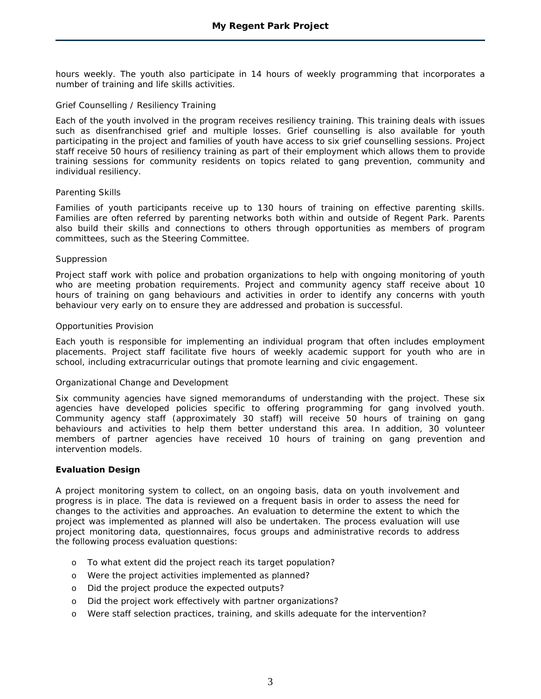hours weekly. The youth also participate in 14 hours of weekly programming that incorporates a number of training and life skills activities.

# *Grief Counselling / Resiliency Training*

Each of the youth involved in the program receives resiliency training. This training deals with issues such as disenfranchised grief and multiple losses. Grief counselling is also available for youth participating in the project and families of youth have access to six grief counselling sessions. Project staff receive 50 hours of resiliency training as part of their employment which allows them to provide training sessions for community residents on topics related to gang prevention, community and individual resiliency.

#### *Parenting Skills*

Families of youth participants receive up to 130 hours of training on effective parenting skills. Families are often referred by parenting networks both within and outside of Regent Park. Parents also build their skills and connections to others through opportunities as members of program committees, such as the Steering Committee.

#### *Suppression*

Project staff work with police and probation organizations to help with ongoing monitoring of youth who are meeting probation requirements. Project and community agency staff receive about 10 hours of training on gang behaviours and activities in order to identify any concerns with youth behaviour very early on to ensure they are addressed and probation is successful.

#### *Opportunities Provision*

Each youth is responsible for implementing an individual program that often includes employment placements. Project staff facilitate five hours of weekly academic support for youth who are in school, including extracurricular outings that promote learning and civic engagement.

#### *Organizational Change and Development*

Six community agencies have signed memorandums of understanding with the project. These six agencies have developed policies specific to offering programming for gang involved youth. Community agency staff (approximately 30 staff) will receive 50 hours of training on gang behaviours and activities to help them better understand this area. In addition, 30 volunteer members of partner agencies have received 10 hours of training on gang prevention and intervention models.

# **Evaluation Design**

A project monitoring system to collect, on an ongoing basis, data on youth involvement and progress is in place. The data is reviewed on a frequent basis in order to assess the need for changes to the activities and approaches. An evaluation to determine the extent to which the project was implemented as planned will also be undertaken. The process evaluation will use project monitoring data, questionnaires, focus groups and administrative records to address the following process evaluation questions:

- o To what extent did the project reach its target population?
- o Were the project activities implemented as planned?
- o Did the project produce the expected outputs?
- o Did the project work effectively with partner organizations?
- o Were staff selection practices, training, and skills adequate for the intervention?